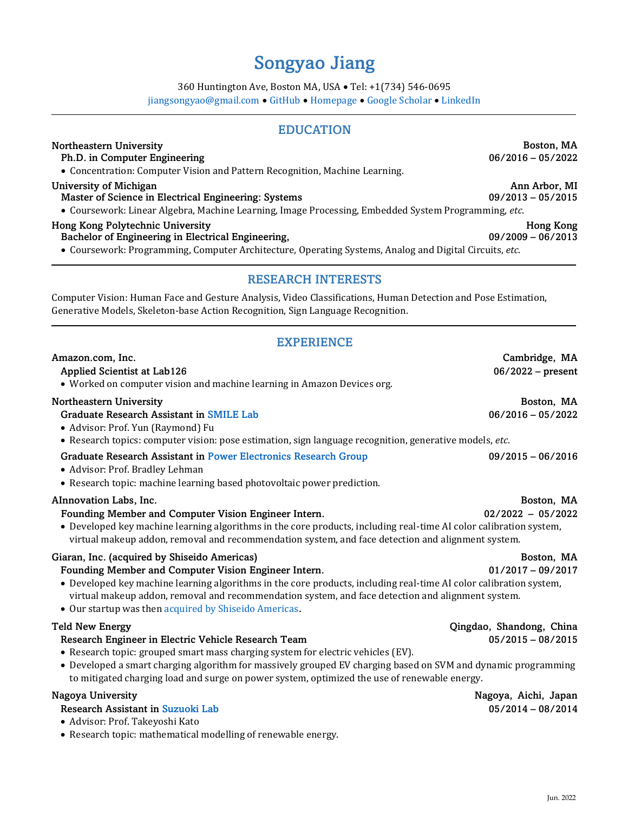# Songyao Jiang

360 Huntington Ave, Boston MA, USA • Tel: +1(734) 546-0695

[jiangsongyao@gmail.com](mailto:jiangsongyao@gmail.com) • [GitHub](https://github.com/jackyjsy) • [Homepage](http://www.songyaojiang.com/) • [Google Scholar](https://scholar.google.com/citations?user=Q5E2uoMAAAAJ) • [LinkedIn](https://www.linkedin.com/in/songyao-jiang/)

# EDUCATION

### Northeastern University **Boston, MA**

# Ph.D. in Computer Engineering 06/2016 – 05/2022

• Concentration: Computer Vision and Pattern Recognition, Machine Learning.

#### University of Michigan **Anniversity of Michigan** Ann Arbor, MI

#### Master of Science in Electrical Engineering: Systems 09/2013 – 05/2015

• Coursework: Linear Algebra, Machine Learning, Image Processing, Embedded System Programming, *etc*.

#### Hong Kong Polytechnic University Hong Kong

### Bachelor of Engineering in Electrical Engineering, 09/2009 – 06/2013

• Coursework: Programming, Computer Architecture, Operating Systems, Analog and Digital Circuits, *etc*.

## RESEARCH INTERESTS

Computer Vision: Human Face and Gesture Analysis, Video Classifications, Human Detection and Pose Estimation, Generative Models, Skeleton-base Action Recognition, Sign Language Recognition.

# EXPERIENCE

| Amazon.com, Inc.                                                                                                                                                                                                                                                                                                                         | Cambridge, MA            |
|------------------------------------------------------------------------------------------------------------------------------------------------------------------------------------------------------------------------------------------------------------------------------------------------------------------------------------------|--------------------------|
| Applied Scientist at Lab126                                                                                                                                                                                                                                                                                                              | $06/2022$ – present      |
| • Worked on computer vision and machine learning in Amazon Devices org.                                                                                                                                                                                                                                                                  |                          |
| <b>Northeastern University</b>                                                                                                                                                                                                                                                                                                           | Boston, MA               |
| Graduate Research Assistant in SMILE Lab<br>· Advisor: Prof. Yun (Raymond) Fu                                                                                                                                                                                                                                                            | $06/2016 - 05/2022$      |
| • Research topics: computer vision: pose estimation, sign language recognition, generative models, etc.                                                                                                                                                                                                                                  |                          |
| <b>Graduate Research Assistant in Power Electronics Research Group</b><br>• Advisor: Prof. Bradley Lehman                                                                                                                                                                                                                                | $09/2015 - 06/2016$      |
| • Research topic: machine learning based photovoltaic power prediction.                                                                                                                                                                                                                                                                  |                          |
| AInnovation Labs, Inc.                                                                                                                                                                                                                                                                                                                   | Boston, MA               |
| Founding Member and Computer Vision Engineer Intern.<br>• Developed key machine learning algorithms in the core products, including real-time AI color calibration system,<br>virtual makeup addon, removal and recommendation system, and face detection and alignment system.                                                          | $02/2022 - 05/2022$      |
| Giaran, Inc. (acquired by Shiseido Americas)                                                                                                                                                                                                                                                                                             | Boston, MA               |
| Founding Member and Computer Vision Engineer Intern.<br>• Developed key machine learning algorithms in the core products, including real-time AI color calibration system,<br>virtual makeup addon, removal and recommendation system, and face detection and alignment system.<br>• Our startup was then acquired by Shiseido Americas. | $01/2017 - 09/2017$      |
| <b>Teld New Energy</b>                                                                                                                                                                                                                                                                                                                   | Qingdao, Shandong, China |
| Research Engineer in Electric Vehicle Research Team<br>• Research topic: grouped smart mass charging system for electric vehicles (EV).                                                                                                                                                                                                  | $05/2015 - 08/2015$      |
| • Developed a smart charging algorithm for massively grouped EV charging based on SVM and dynamic programming<br>to mitigated charging load and surge on power system, optimized the use of renewable energy.                                                                                                                            |                          |
| Nagoya University                                                                                                                                                                                                                                                                                                                        | Nagoya, Aichi, Japan     |
| Research Assistant in Suzuoki Lab<br>· Advisor: Prof. Takeyoshi Kato                                                                                                                                                                                                                                                                     | $05/2014 - 08/2014$      |

• Research topic: mathematical modelling of renewable energy.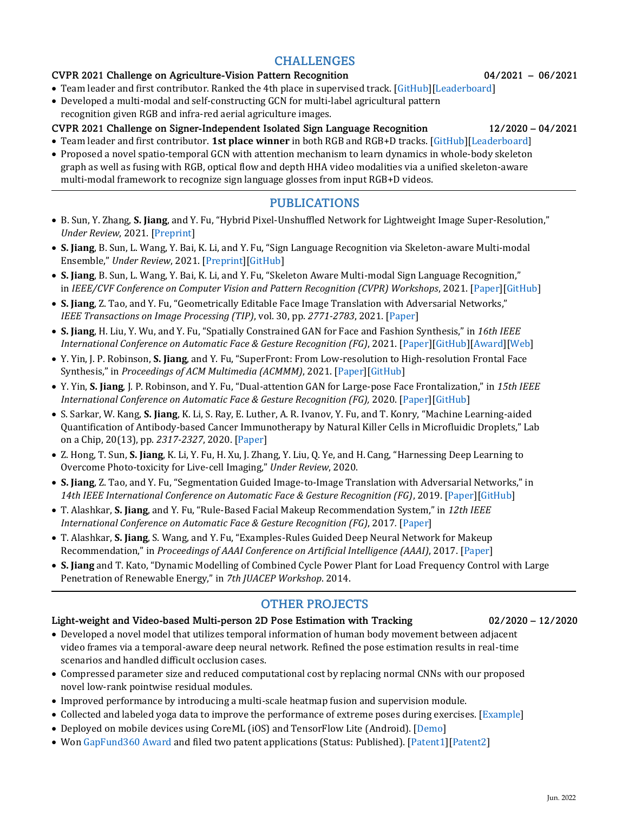# CHALLENGES

### CVPR 2021 Challenge on Agriculture-Vision Pattern Recognition 04/2021 – 06/2021

- Team leader and first contributor. Ranked the 4th place in supervised track. [GitHub][Leaderboard]
- Developed a multi-modal and self-constructing GCN for multi-label agricultural pattern recognition given RGB and infra-red aerial agriculture images.

# CVPR 2021 Challenge on Signer-Independent Isolated Sign Language Recognition 12/2020 – 04/2021

- Team leader and first contributor. **1st place winner** in both RGB and RGB+D tracks. [GitHub][Leaderboard]
- Proposed a novel spatio-temporal GCN with attention mechanism to learn dynamics in whole-body skeleton graph as well as fusing with RGB, optical flow and depth HHA video modalities via a unified skeleton-aware multi-modal framework to recognize sign language glosses from input RGB+D videos.

# PUBLICATIONS

- B. Sun, Y. Zhang, **S. Jiang**, and Y. Fu, "Hybrid Pixel-Unshuffled Network for Lightweight Image Super-Resolution," *Under Review*, 2021. [Preprint]
- **S. Jiang**, B. Sun, L. Wang, Y. Bai, K. Li, and Y. Fu, "Sign Language Recognition via Skeleton-aware Multi-modal Ensemble," *Under Review*, 2021. [Preprint][GitHub]
- **S. Jiang**, B. Sun, L. Wang, Y. Bai, K. Li, and Y. Fu, "Skeleton Aware Multi-modal Sign Language Recognition," in *IEEE/CVF Conference on Computer Vision and Pattern Recognition (CVPR) Workshops*, 2021. [Paper][GitHub]
- **S. Jiang**, Z. Tao, and Y. Fu, "Geometrically Editable Face Image Translation with Adversarial Networks," *IEEE Transactions on Image Processing (TIP)*, vol. 30, pp. *2771-2783*, 2021. [Paper]
- **S. Jiang**, H. Liu, Y. Wu, and Y. Fu, "Spatially Constrained GAN for Face and Fashion Synthesis," in *16th IEEE International Conference on Automatic Face & Gesture Recognition (FG)*, 2021. [Paper][GitHub][Award][Web]
- Y. Yin, J. P. Robinson, **S. Jiang**, and Y. Fu, "SuperFront: From Low-resolution to High-resolution Frontal Face Synthesis," in *Proceedings of ACM Multimedia (ACMMM)*, 2021. [Paper][GitHub]
- Y. Yin, **S. Jiang**, J. P. Robinson, and Y. Fu, "Dual-attention GAN for Large-pose Face Frontalization," in *15th IEEE International Conference on Automatic Face & Gesture Recognition (FG), 2020.* [Paper][GitHub]
- S. Sarkar, W. Kang, **S. Jiang**, K. Li, S. Ray, E. Luther, A. R. Ivanov, Y. Fu, and T. Konry, "Machine Learning-aided Quantification of Antibody-based Cancer Immunotherapy by Natural Killer Cells in Microfluidic Droplets," Lab on a Chip, 20(13), pp. *2317-2327*, 2020. [Paper]
- Z. Hong, T. Sun, **S. Jiang**, K. Li, Y. Fu, H. Xu, J. Zhang, Y. Liu, Q. Ye, and H. Cang, "Harnessing Deep Learning to Overcome Photo-toxicity for Live-cell Imaging," *Under Review*, 2020.
- **S. Jiang**, Z. Tao, and Y. Fu, "Segmentation Guided Image-to-Image Translation with Adversarial Networks," in *14th IEEE International Conference on Automatic Face & Gesture Recognition (FG)*, 2019. [Paper][GitHub]
- T. Alashkar, **S. Jiang**, and Y. Fu, "Rule-Based Facial Makeup Recommendation System," in *12th IEEE International Conference on Automatic Face & Gesture Recognition (FG)*, 2017*.* [Paper]
- T. Alashkar, **S. Jiang**, S. Wang, and Y. Fu, "Examples-Rules Guided Deep Neural Network for Makeup Recommendation," in *Proceedings of AAAI Conference on Artificial Intelligence (AAAI)*, 2017. [Paper]
- **S. Jiang** and T. Kato, "Dynamic Modelling of Combined Cycle Power Plant for Load Frequency Control with Large Penetration of Renewable Energy," in *7th JUACEP Workshop*. 2014.

# OTHER PROJECTS

# Light-weight and Video-based Multi-person 2D Pose Estimation with Tracking 02/2020 – 12/2020

- Developed a novel model that utilizes temporal information of human body movement between adjacent video frames via a temporal-aware deep neural network. Refined the pose estimation results in real-time scenarios and handled difficult occlusion cases.
- Compressed parameter size and reduced computational cost by replacing normal CNNs with our proposed novel low-rank pointwise residual modules.
- Improved performance by introducing a multi-scale heatmap fusion and supervision module.
- Collected and labeled yoga data to improve the performance of extreme poses during exercises. [Example]
- Deployed on mobile devices using CoreML (iOS) and TensorFlow Lite (Android). [Demo]
- Won GapFund360 Award and filed two patent applications (Status: Published). [Patent1][Patent2]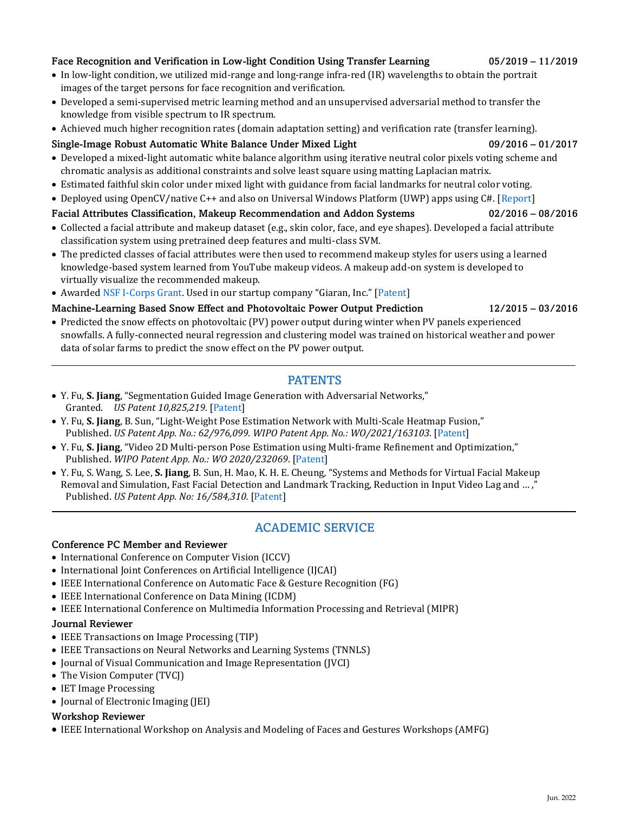#### Face Recognition and Verification in Low-light Condition Using Transfer Learning 05/2019 – 11/2019

- In low-light condition, we utilized mid-range and long-range infra-red (IR) wavelengths to obtain the portrait images of the target persons for face recognition and verification.
- Developed a semi-supervised metric learning method and an unsupervised adversarial method to transfer the knowledge from visible spectrum to IR spectrum.
- Achieved much higher recognition rates (domain adaptation setting) and verification rate (transfer learning).

### Single-Image Robust Automatic White Balance Under Mixed Light 09/2016 – 01/2017

- Developed a mixed-light automatic white balance algorithm using iterative neutral color pixels voting scheme and chromatic analysis as additional constraints and solve least square using matting Laplacian matrix.
- Estimated faithful skin color under mixed light with guidance from facial landmarks for neutral color voting.
- Deployed using OpenCV/native C++ and also on Universal Windows Platform (UWP) apps using C#. [Report]

### Facial Attributes Classification, Makeup Recommendation and Addon Systems 02/2016 – 08/2016

- Collected a facial attribute and makeup dataset (e.g., skin color, face, and eye shapes). Developed a facial attribute classification system using pretrained deep features and multi-class SVM.
- The predicted classes of facial attributes were then used to recommend makeup styles for users using a learned knowledge-based system learned from YouTube makeup videos. A makeup add-on system is developed to virtually visualize the recommended makeup.
- Awarded NSF I-Corps Grant. Used in our startup company "Giaran, Inc." [Patent]

### Machine-Learning Based Snow Effect and Photovoltaic Power Output Prediction 12/2015 – 03/2016

• Predicted the snow effects on photovoltaic (PV) power output during winter when PV panels experienced snowfalls. A fully-connected neural regression and clustering model was trained on historical weather and power data of solar farms to predict the snow effect on the PV power output.

## PATENTS

- Y. Fu, **S. Jiang**, "Segmentation Guided Image Generation with Adversarial Networks," Granted. *US Patent 10,825,219.* [Patent]
- Y. Fu, **S. Jiang**, B. Sun, "Light-Weight Pose Estimation Network with Multi-Scale Heatmap Fusion," Published. *US Patent App. No.: 62/976,099. WIPO Patent App. No.: WO/2021/163103.* [Patent]
- Y. Fu, **S. Jiang**, "Video 2D Multi-person Pose Estimation using Multi-frame Refinement and Optimization," Published. *WIPO Patent App. No.: WO 2020/232069*. [Patent]
- Y. Fu, S. Wang, S. Lee, **S. Jiang**, B. Sun, H. Mao, K. H. E. Cheung*,* "Systems and Methods for Virtual Facial Makeup Removal and Simulation, Fast Facial Detection and Landmark Tracking, Reduction in Input Video Lag and … ," Published. *US Patent App. No: 16/584,310.* [Patent]

# ACADEMIC SERVICE

#### Conference PC Member and Reviewer

- International Conference on Computer Vision (ICCV)
- International Joint Conferences on Artificial Intelligence (IJCAI)
- IEEE International Conference on Automatic Face & Gesture Recognition (FG)
- IEEE International Conference on Data Mining (ICDM)
- IEEE International Conference on Multimedia Information Processing and Retrieval (MIPR)

#### Journal Reviewer

- IEEE Transactions on Image Processing (TIP)
- IEEE Transactions on Neural Networks and Learning Systems (TNNLS)
- Journal of Visual Communication and Image Representation (JVCI)
- The Vision Computer (TVCJ)
- IET Image Processing
- Journal of Electronic Imaging (JEI)

#### Workshop Reviewer

• IEEE International Workshop on Analysis and Modeling of Faces and Gestures Workshops (AMFG)